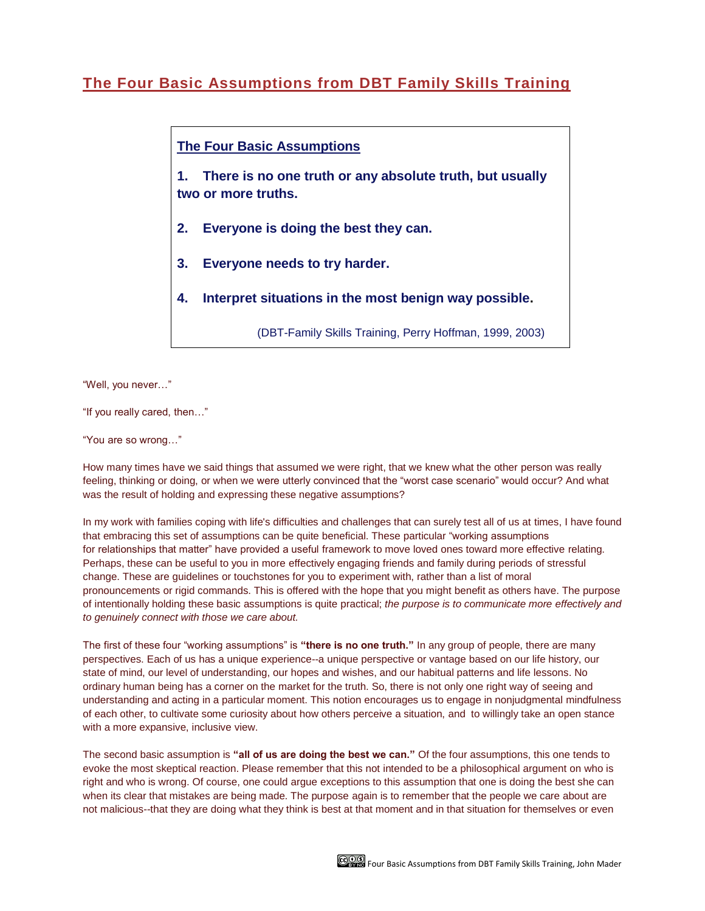## **The Four Basic [Assumptions](http://www.dbtfamilyskills.com/1/post/2013/12/the-four-basic-assumptions-fromdbt-family-skills-training.html) from DBT Family Skills Training**

## **The Four Basic Assumptions**

**1. There is no one truth or any absolute truth, but usually two or more truths.**

- **2. Everyone is doing the best they can.**
- **3. Everyone needs to try harder.**
- **4. Interpret situations in the most benign way possible.**

(DBT-Family Skills Training, Perry Hoffman, 1999, 2003)

"Well, you never…"

"If you really cared, then…"

"You are so wrong…"

How many times have we said things that assumed we were right, that we knew what the other person was really feeling, thinking or doing, or when we were utterly convinced that the "worst case scenario" would occur? And what was the result of holding and expressing these negative assumptions?

In my work with families coping with life's difficulties and challenges that can surely test all of us at times, I have found that embracing this set of assumptions can be quite beneficial. These particular "working assumptions for relationships that matter" have provided a useful framework to move loved ones toward more effective relating. Perhaps, these can be useful to you in more effectively engaging friends and family during periods of stressful change. These are guidelines or touchstones for you to experiment with, rather than a list of moral pronouncements or rigid commands. This is offered with the hope that you might benefit as others have. The purpose of intentionally holding these basic assumptions is quite practical; *the purpose is to communicate more effectively and to genuinely connect with those we care about.*

The first of these four "working assumptions" is **"there is no one truth."** In any group of people, there are many perspectives. Each of us has a unique experience--a unique perspective or vantage based on our life history, our state of mind, our level of understanding, our hopes and wishes, and our habitual patterns and life lessons. No ordinary human being has a corner on the market for the truth. So, there is not only one right way of seeing and understanding and acting in a particular moment. This notion encourages us to engage in nonjudgmental mindfulness of each other, to cultivate some curiosity about how others perceive a situation, and to willingly take an open stance with a more expansive, inclusive view.

The second basic assumption is **"all of us are doing the best we can."** Of the four assumptions, this one tends to evoke the most skeptical reaction. Please remember that this not intended to be a philosophical argument on who is right and who is wrong. Of course, one could argue exceptions to this assumption that one is doing the best she can when its clear that mistakes are being made. The purpose again is to remember that the people we care about are not malicious--that they are doing what they think is best at that moment and in that situation for themselves or even